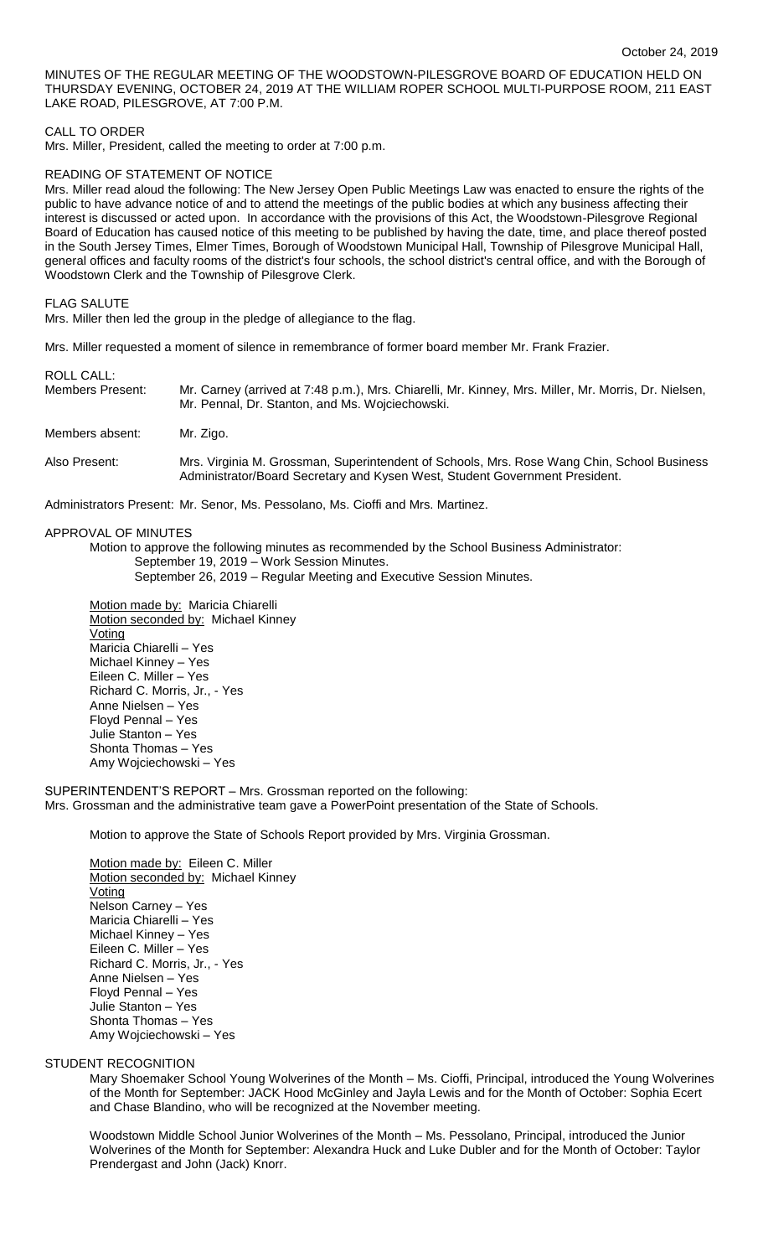MINUTES OF THE REGULAR MEETING OF THE WOODSTOWN-PILESGROVE BOARD OF EDUCATION HELD ON THURSDAY EVENING, OCTOBER 24, 2019 AT THE WILLIAM ROPER SCHOOL MULTI-PURPOSE ROOM, 211 EAST LAKE ROAD, PILESGROVE, AT 7:00 P.M.

#### CALL TO ORDER

Mrs. Miller, President, called the meeting to order at 7:00 p.m.

#### READING OF STATEMENT OF NOTICE

Mrs. Miller read aloud the following: The New Jersey Open Public Meetings Law was enacted to ensure the rights of the public to have advance notice of and to attend the meetings of the public bodies at which any business affecting their interest is discussed or acted upon. In accordance with the provisions of this Act, the Woodstown-Pilesgrove Regional Board of Education has caused notice of this meeting to be published by having the date, time, and place thereof posted in the South Jersey Times, Elmer Times, Borough of Woodstown Municipal Hall, Township of Pilesgrove Municipal Hall, general offices and faculty rooms of the district's four schools, the school district's central office, and with the Borough of Woodstown Clerk and the Township of Pilesgrove Clerk.

# FLAG SALUTE

Mrs. Miller then led the group in the pledge of allegiance to the flag.

Mrs. Miller requested a moment of silence in remembrance of former board member Mr. Frank Frazier.

#### ROLL CALL:

Members Present: Mr. Carney (arrived at 7:48 p.m.), Mrs. Chiarelli, Mr. Kinney, Mrs. Miller, Mr. Morris, Dr. Nielsen, Mr. Pennal, Dr. Stanton, and Ms. Wojciechowski.

Members absent: Mr. Zigo.

# Also Present: Mrs. Virginia M. Grossman, Superintendent of Schools, Mrs. Rose Wang Chin, School Business Administrator/Board Secretary and Kysen West, Student Government President.

Administrators Present: Mr. Senor, Ms. Pessolano, Ms. Cioffi and Mrs. Martinez.

# APPROVAL OF MINUTES

Motion to approve the following minutes as recommended by the School Business Administrator: September 19, 2019 – Work Session Minutes.

September 26, 2019 – Regular Meeting and Executive Session Minutes.

Motion made by: Maricia Chiarelli Motion seconded by: Michael Kinney Voting Maricia Chiarelli – Yes Michael Kinney – Yes Eileen C. Miller – Yes Richard C. Morris, Jr., - Yes Anne Nielsen – Yes Floyd Pennal – Yes Julie Stanton – Yes Shonta Thomas – Yes Amy Wojciechowski – Yes

SUPERINTENDENT'S REPORT – Mrs. Grossman reported on the following: Mrs. Grossman and the administrative team gave a PowerPoint presentation of the State of Schools.

Motion to approve the State of Schools Report provided by Mrs. Virginia Grossman.

Motion made by: Eileen C. Miller Motion seconded by: Michael Kinney Voting Nelson Carney – Yes Maricia Chiarelli – Yes Michael Kinney – Yes Eileen C. Miller – Yes Richard C. Morris, Jr., - Yes Anne Nielsen – Yes Floyd Pennal – Yes Julie Stanton – Yes Shonta Thomas – Yes Amy Wojciechowski – Yes

#### STUDENT RECOGNITION

Mary Shoemaker School Young Wolverines of the Month – Ms. Cioffi, Principal, introduced the Young Wolverines of the Month for September: JACK Hood McGinley and Jayla Lewis and for the Month of October: Sophia Ecert and Chase Blandino, who will be recognized at the November meeting.

Woodstown Middle School Junior Wolverines of the Month – Ms. Pessolano, Principal, introduced the Junior Wolverines of the Month for September: Alexandra Huck and Luke Dubler and for the Month of October: Taylor Prendergast and John (Jack) Knorr.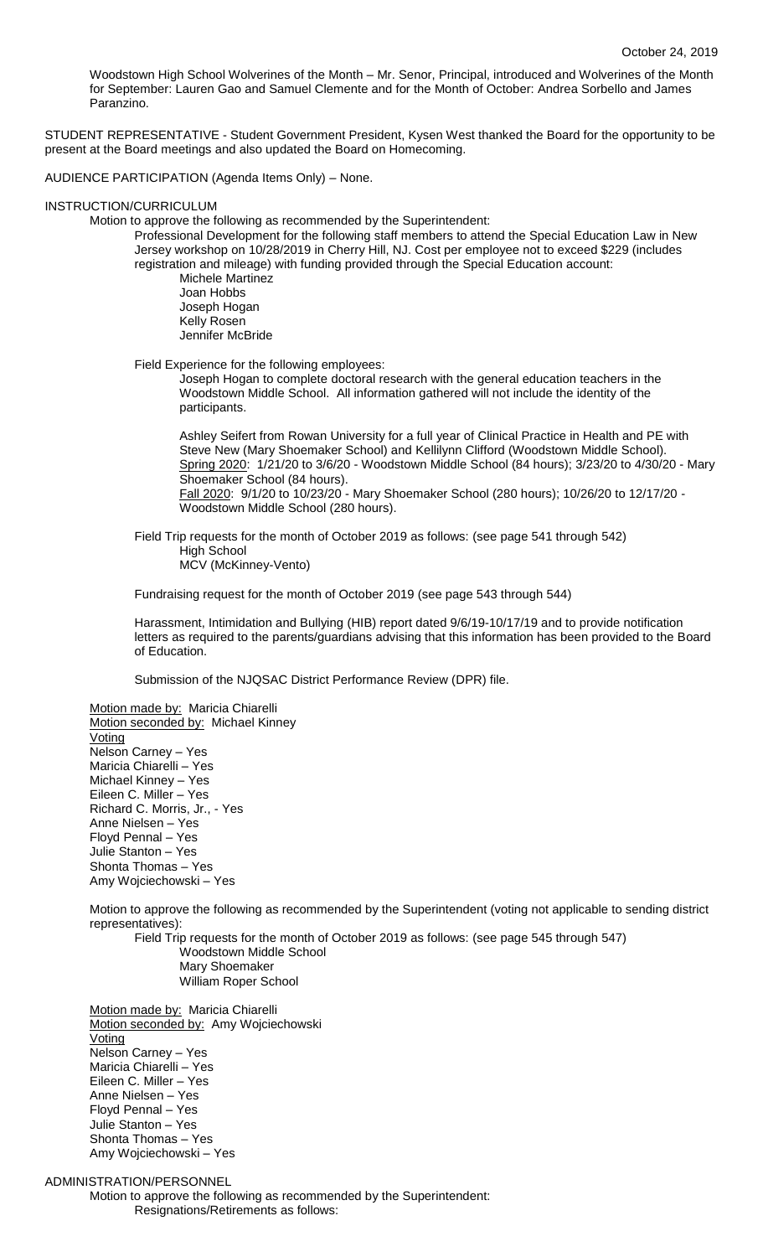Woodstown High School Wolverines of the Month – Mr. Senor, Principal, introduced and Wolverines of the Month for September: Lauren Gao and Samuel Clemente and for the Month of October: Andrea Sorbello and James Paranzino.

STUDENT REPRESENTATIVE - Student Government President, Kysen West thanked the Board for the opportunity to be present at the Board meetings and also updated the Board on Homecoming.

AUDIENCE PARTICIPATION (Agenda Items Only) – None.

#### INSTRUCTION/CURRICULUM

Motion to approve the following as recommended by the Superintendent:

Professional Development for the following staff members to attend the Special Education Law in New Jersey workshop on 10/28/2019 in Cherry Hill, NJ. Cost per employee not to exceed \$229 (includes registration and mileage) with funding provided through the Special Education account:

Michele Martinez Joan Hobbs Joseph Hogan Kelly Rosen Jennifer McBride

Field Experience for the following employees:

Joseph Hogan to complete doctoral research with the general education teachers in the Woodstown Middle School. All information gathered will not include the identity of the participants.

Ashley Seifert from Rowan University for a full year of Clinical Practice in Health and PE with Steve New (Mary Shoemaker School) and Kellilynn Clifford (Woodstown Middle School). Spring 2020: 1/21/20 to 3/6/20 - Woodstown Middle School (84 hours); 3/23/20 to 4/30/20 - Mary Shoemaker School (84 hours). Fall 2020: 9/1/20 to 10/23/20 - Mary Shoemaker School (280 hours); 10/26/20 to 12/17/20 -

Woodstown Middle School (280 hours).

Field Trip requests for the month of October 2019 as follows: (see page 541 through 542) High School MCV (McKinney-Vento)

Fundraising request for the month of October 2019 (see page 543 through 544)

Harassment, Intimidation and Bullying (HIB) report dated 9/6/19-10/17/19 and to provide notification letters as required to the parents/guardians advising that this information has been provided to the Board of Education.

Submission of the NJQSAC District Performance Review (DPR) file.

Motion made by: Maricia Chiarelli Motion seconded by: Michael Kinney **Voting** Nelson Carney – Yes Maricia Chiarelli – Yes Michael Kinney – Yes Eileen C. Miller – Yes Richard C. Morris, Jr., - Yes Anne Nielsen – Yes Floyd Pennal – Yes Julie Stanton – Yes Shonta Thomas – Yes Amy Wojciechowski – Yes

Motion to approve the following as recommended by the Superintendent (voting not applicable to sending district representatives):

Field Trip requests for the month of October 2019 as follows: (see page 545 through 547) Woodstown Middle School Mary Shoemaker William Roper School

Motion made by: Maricia Chiarelli Motion seconded by: Amy Wojciechowski **Voting** Nelson Carney – Yes Maricia Chiarelli – Yes Eileen C. Miller – Yes Anne Nielsen – Yes Floyd Pennal – Yes Julie Stanton – Yes Shonta Thomas – Yes Amy Wojciechowski – Yes

ADMINISTRATION/PERSONNEL

Motion to approve the following as recommended by the Superintendent: Resignations/Retirements as follows: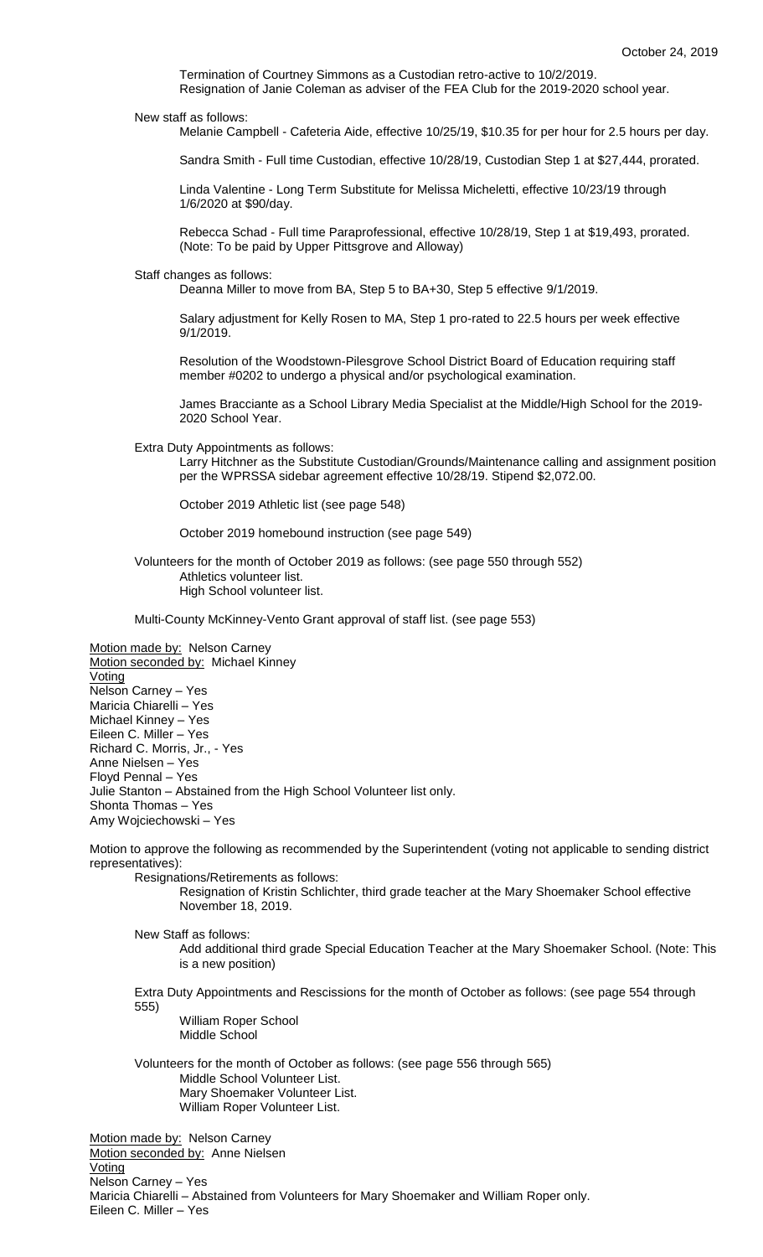Termination of Courtney Simmons as a Custodian retro-active to 10/2/2019. Resignation of Janie Coleman as adviser of the FEA Club for the 2019-2020 school year.

New staff as follows:

Melanie Campbell - Cafeteria Aide, effective 10/25/19, \$10.35 for per hour for 2.5 hours per day.

Sandra Smith - Full time Custodian, effective 10/28/19, Custodian Step 1 at \$27,444, prorated.

Linda Valentine - Long Term Substitute for Melissa Micheletti, effective 10/23/19 through 1/6/2020 at \$90/day.

Rebecca Schad - Full time Paraprofessional, effective 10/28/19, Step 1 at \$19,493, prorated. (Note: To be paid by Upper Pittsgrove and Alloway)

Staff changes as follows:

Deanna Miller to move from BA, Step 5 to BA+30, Step 5 effective 9/1/2019.

Salary adjustment for Kelly Rosen to MA, Step 1 pro-rated to 22.5 hours per week effective 9/1/2019.

Resolution of the Woodstown-Pilesgrove School District Board of Education requiring staff member #0202 to undergo a physical and/or psychological examination.

James Bracciante as a School Library Media Specialist at the Middle/High School for the 2019- 2020 School Year.

Extra Duty Appointments as follows:

Larry Hitchner as the Substitute Custodian/Grounds/Maintenance calling and assignment position per the WPRSSA sidebar agreement effective 10/28/19. Stipend \$2,072.00.

October 2019 Athletic list (see page 548)

October 2019 homebound instruction (see page 549)

Volunteers for the month of October 2019 as follows: (see page 550 through 552) Athletics volunteer list. High School volunteer list.

Multi-County McKinney-Vento Grant approval of staff list. (see page 553)

Motion made by: Nelson Carney Motion seconded by: Michael Kinney Voting Nelson Carney – Yes Maricia Chiarelli – Yes Michael Kinney – Yes Eileen C. Miller – Yes Richard C. Morris, Jr., - Yes Anne Nielsen – Yes Floyd Pennal – Yes Julie Stanton – Abstained from the High School Volunteer list only. Shonta Thomas – Yes Amy Wojciechowski – Yes

Motion to approve the following as recommended by the Superintendent (voting not applicable to sending district representatives):

Resignations/Retirements as follows:

Resignation of Kristin Schlichter, third grade teacher at the Mary Shoemaker School effective November 18, 2019.

New Staff as follows:

Add additional third grade Special Education Teacher at the Mary Shoemaker School. (Note: This is a new position)

Extra Duty Appointments and Rescissions for the month of October as follows: (see page 554 through 555)

William Roper School Middle School

Volunteers for the month of October as follows: (see page 556 through 565) Middle School Volunteer List. Mary Shoemaker Volunteer List. William Roper Volunteer List.

Motion made by: Nelson Carney Motion seconded by: Anne Nielsen Voting Nelson Carney – Yes Maricia Chiarelli – Abstained from Volunteers for Mary Shoemaker and William Roper only. Eileen C. Miller – Yes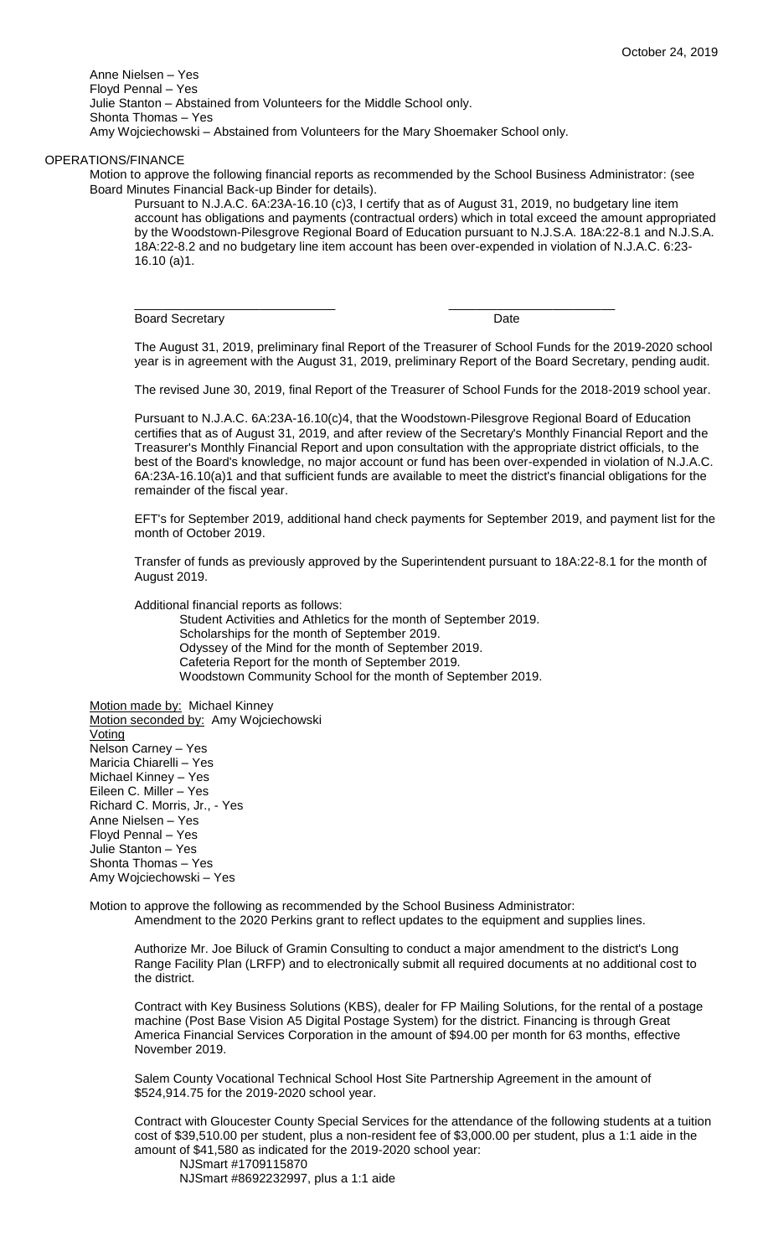Anne Nielsen – Yes Floyd Pennal – Yes Julie Stanton – Abstained from Volunteers for the Middle School only. Shonta Thomas – Yes Amy Wojciechowski – Abstained from Volunteers for the Mary Shoemaker School only.

# OPERATIONS/FINANCE

Motion to approve the following financial reports as recommended by the School Business Administrator: (see Board Minutes Financial Back-up Binder for details).

\_\_\_\_\_\_\_\_\_\_\_\_\_\_\_\_\_\_\_\_\_\_\_\_\_\_\_\_\_ \_\_\_\_\_\_\_\_\_\_\_\_\_\_\_\_\_\_\_\_\_\_\_\_

Pursuant to N.J.A.C. 6A:23A-16.10 (c)3, I certify that as of August 31, 2019, no budgetary line item account has obligations and payments (contractual orders) which in total exceed the amount appropriated by the Woodstown-Pilesgrove Regional Board of Education pursuant to N.J.S.A. 18A:22-8.1 and N.J.S.A. 18A:22-8.2 and no budgetary line item account has been over-expended in violation of N.J.A.C. 6:23- 16.10 (a)1.

Board Secretary **Date Date Date** 

The August 31, 2019, preliminary final Report of the Treasurer of School Funds for the 2019-2020 school year is in agreement with the August 31, 2019, preliminary Report of the Board Secretary, pending audit.

The revised June 30, 2019, final Report of the Treasurer of School Funds for the 2018-2019 school year.

Pursuant to N.J.A.C. 6A:23A-16.10(c)4, that the Woodstown-Pilesgrove Regional Board of Education certifies that as of August 31, 2019, and after review of the Secretary's Monthly Financial Report and the Treasurer's Monthly Financial Report and upon consultation with the appropriate district officials, to the best of the Board's knowledge, no major account or fund has been over-expended in violation of N.J.A.C. 6A:23A-16.10(a)1 and that sufficient funds are available to meet the district's financial obligations for the remainder of the fiscal year.

EFT's for September 2019, additional hand check payments for September 2019, and payment list for the month of October 2019.

Transfer of funds as previously approved by the Superintendent pursuant to 18A:22-8.1 for the month of August 2019.

Additional financial reports as follows:

Student Activities and Athletics for the month of September 2019. Scholarships for the month of September 2019. Odyssey of the Mind for the month of September 2019. Cafeteria Report for the month of September 2019. Woodstown Community School for the month of September 2019.

Motion made by: Michael Kinney Motion seconded by: Amy Wojciechowski Voting Nelson Carney – Yes Maricia Chiarelli – Yes Michael Kinney – Yes Eileen C. Miller – Yes Richard C. Morris, Jr., - Yes Anne Nielsen – Yes Floyd Pennal – Yes Julie Stanton – Yes Shonta Thomas – Yes Amy Wojciechowski – Yes

Motion to approve the following as recommended by the School Business Administrator:

Amendment to the 2020 Perkins grant to reflect updates to the equipment and supplies lines.

Authorize Mr. Joe Biluck of Gramin Consulting to conduct a major amendment to the district's Long Range Facility Plan (LRFP) and to electronically submit all required documents at no additional cost to the district.

Contract with Key Business Solutions (KBS), dealer for FP Mailing Solutions, for the rental of a postage machine (Post Base Vision A5 Digital Postage System) for the district. Financing is through Great America Financial Services Corporation in the amount of \$94.00 per month for 63 months, effective November 2019.

Salem County Vocational Technical School Host Site Partnership Agreement in the amount of \$524,914.75 for the 2019-2020 school year.

Contract with Gloucester County Special Services for the attendance of the following students at a tuition cost of \$39,510.00 per student, plus a non-resident fee of \$3,000.00 per student, plus a 1:1 aide in the amount of \$41,580 as indicated for the 2019-2020 school year: NJSmart #1709115870

NJSmart #8692232997, plus a 1:1 aide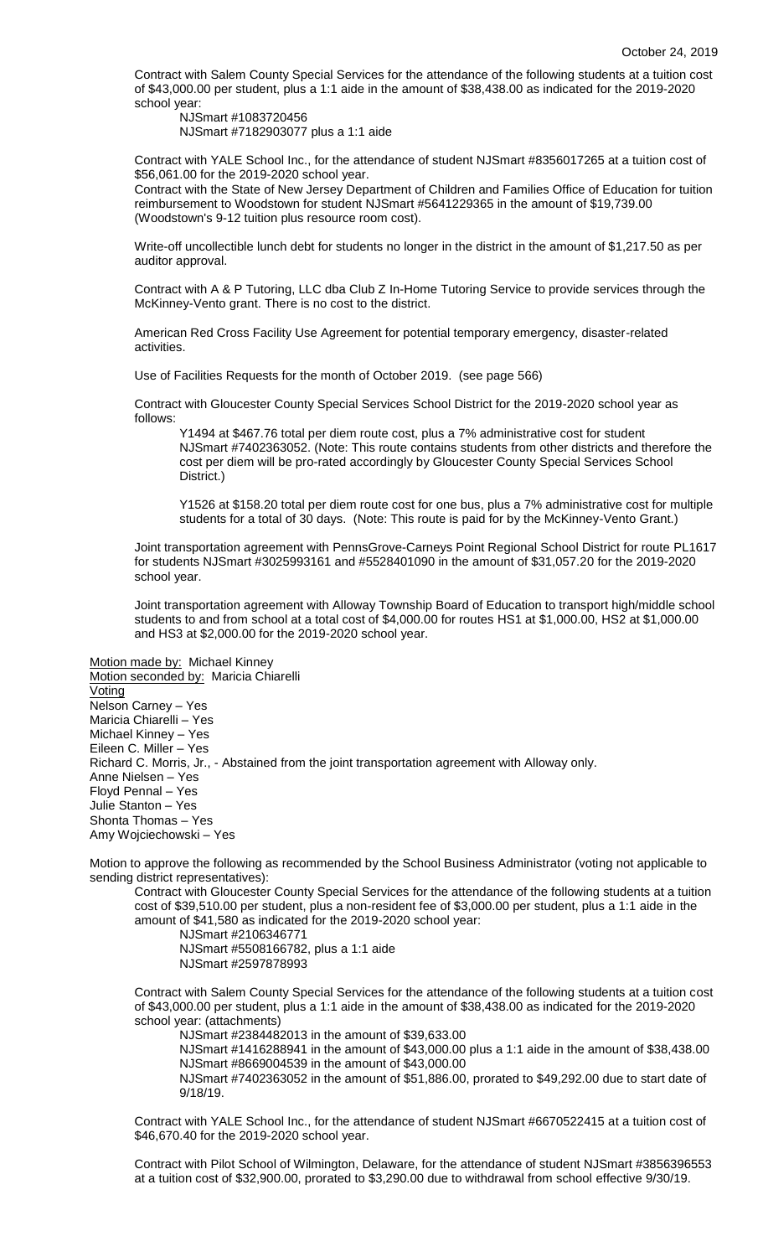Contract with Salem County Special Services for the attendance of the following students at a tuition cost of \$43,000.00 per student, plus a 1:1 aide in the amount of \$38,438.00 as indicated for the 2019-2020 school year:

NJSmart #1083720456 NJSmart #7182903077 plus a 1:1 aide

Contract with YALE School Inc., for the attendance of student NJSmart #8356017265 at a tuition cost of \$56,061.00 for the 2019-2020 school year.

Contract with the State of New Jersey Department of Children and Families Office of Education for tuition reimbursement to Woodstown for student NJSmart #5641229365 in the amount of \$19,739.00 (Woodstown's 9-12 tuition plus resource room cost).

Write-off uncollectible lunch debt for students no longer in the district in the amount of \$1,217.50 as per auditor approval.

Contract with A & P Tutoring, LLC dba Club Z In-Home Tutoring Service to provide services through the McKinney-Vento grant. There is no cost to the district.

American Red Cross Facility Use Agreement for potential temporary emergency, disaster-related activities.

Use of Facilities Requests for the month of October 2019. (see page 566)

Contract with Gloucester County Special Services School District for the 2019-2020 school year as follows:

Y1494 at \$467.76 total per diem route cost, plus a 7% administrative cost for student NJSmart #7402363052. (Note: This route contains students from other districts and therefore the cost per diem will be pro-rated accordingly by Gloucester County Special Services School District.)

Y1526 at \$158.20 total per diem route cost for one bus, plus a 7% administrative cost for multiple students for a total of 30 days. (Note: This route is paid for by the McKinney-Vento Grant.)

Joint transportation agreement with PennsGrove-Carneys Point Regional School District for route PL1617 for students NJSmart #3025993161 and #5528401090 in the amount of \$31,057.20 for the 2019-2020 school year.

Joint transportation agreement with Alloway Township Board of Education to transport high/middle school students to and from school at a total cost of \$4,000.00 for routes HS1 at \$1,000.00, HS2 at \$1,000.00 and HS3 at \$2,000.00 for the 2019-2020 school year.

Motion made by: Michael Kinney Motion seconded by: Maricia Chiarelli **Voting** Nelson Carney – Yes Maricia Chiarelli – Yes Michael Kinney – Yes Eileen C. Miller – Yes Richard C. Morris, Jr., - Abstained from the joint transportation agreement with Alloway only. Anne Nielsen – Yes Floyd Pennal – Yes Julie Stanton – Yes Shonta Thomas – Yes Amy Wojciechowski – Yes

Motion to approve the following as recommended by the School Business Administrator (voting not applicable to sending district representatives):

Contract with Gloucester County Special Services for the attendance of the following students at a tuition cost of \$39,510.00 per student, plus a non-resident fee of \$3,000.00 per student, plus a 1:1 aide in the amount of \$41,580 as indicated for the 2019-2020 school year:

NJSmart #2106346771 NJSmart #5508166782, plus a 1:1 aide NJSmart #2597878993

Contract with Salem County Special Services for the attendance of the following students at a tuition cost of \$43,000.00 per student, plus a 1:1 aide in the amount of \$38,438.00 as indicated for the 2019-2020 school year: (attachments)

NJSmart #2384482013 in the amount of \$39,633.00

NJSmart #1416288941 in the amount of \$43,000.00 plus a 1:1 aide in the amount of \$38,438.00 NJSmart #8669004539 in the amount of \$43,000.00

NJSmart #7402363052 in the amount of \$51,886.00, prorated to \$49,292.00 due to start date of 9/18/19.

Contract with YALE School Inc., for the attendance of student NJSmart #6670522415 at a tuition cost of \$46,670.40 for the 2019-2020 school year.

Contract with Pilot School of Wilmington, Delaware, for the attendance of student NJSmart #3856396553 at a tuition cost of \$32,900.00, prorated to \$3,290.00 due to withdrawal from school effective 9/30/19.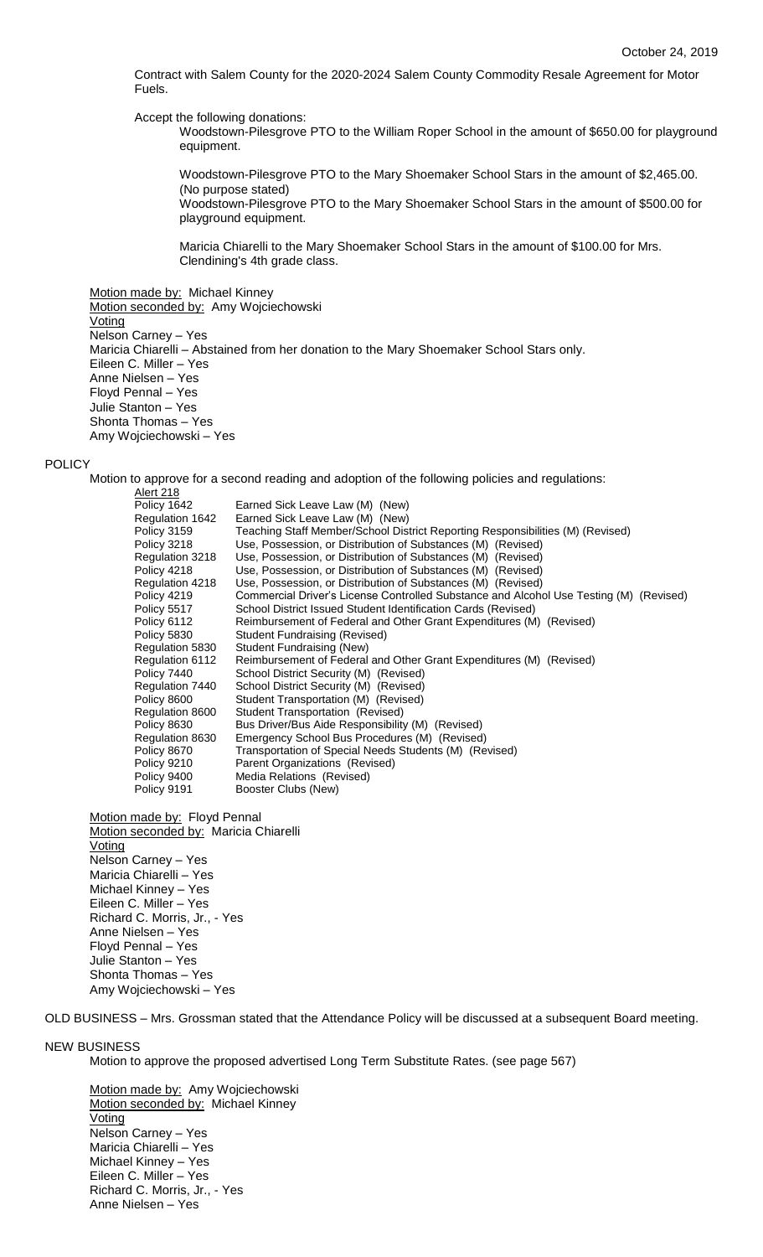Contract with Salem County for the 2020-2024 Salem County Commodity Resale Agreement for Motor Fuels.

Accept the following donations:

Woodstown-Pilesgrove PTO to the William Roper School in the amount of \$650.00 for playground equipment.

Woodstown-Pilesgrove PTO to the Mary Shoemaker School Stars in the amount of \$2,465.00. (No purpose stated) Woodstown-Pilesgrove PTO to the Mary Shoemaker School Stars in the amount of \$500.00 for playground equipment.

Maricia Chiarelli to the Mary Shoemaker School Stars in the amount of \$100.00 for Mrs. Clendining's 4th grade class.

Motion made by: Michael Kinney

Motion seconded by: Amy Wojciechowski **Voting** Nelson Carney – Yes Maricia Chiarelli – Abstained from her donation to the Mary Shoemaker School Stars only. Eileen C. Miller – Yes Anne Nielsen – Yes Floyd Pennal – Yes Julie Stanton – Yes Shonta Thomas – Yes Amy Wojciechowski – Yes

#### POLICY

Motion to approve for a second reading and adoption of the following policies and regulations: Alert 218

| Policy 1642     | Earned Sick Leave Law (M) (New)                                                        |
|-----------------|----------------------------------------------------------------------------------------|
| Regulation 1642 | Earned Sick Leave Law (M) (New)                                                        |
| Policy 3159     | Teaching Staff Member/School District Reporting Responsibilities (M) (Revised)         |
| Policy 3218     | Use, Possession, or Distribution of Substances (M) (Revised)                           |
| Regulation 3218 | Use, Possession, or Distribution of Substances (M) (Revised)                           |
| Policy 4218     | Use, Possession, or Distribution of Substances (M) (Revised)                           |
| Regulation 4218 | Use, Possession, or Distribution of Substances (M) (Revised)                           |
| Policy 4219     | Commercial Driver's License Controlled Substance and Alcohol Use Testing (M) (Revised) |
| Policy 5517     | School District Issued Student Identification Cards (Revised)                          |
| Policy 6112     | Reimbursement of Federal and Other Grant Expenditures (M) (Revised)                    |
| Policy 5830     | Student Fundraising (Revised)                                                          |
| Regulation 5830 | Student Fundraising (New)                                                              |
| Regulation 6112 | Reimbursement of Federal and Other Grant Expenditures (M) (Revised)                    |
| Policy 7440     | School District Security (M) (Revised)                                                 |
| Regulation 7440 | School District Security (M) (Revised)                                                 |
| Policy 8600     | Student Transportation (M) (Revised)                                                   |
| Regulation 8600 | Student Transportation (Revised)                                                       |
| Policy 8630     | Bus Driver/Bus Aide Responsibility (M) (Revised)                                       |
| Regulation 8630 | Emergency School Bus Procedures (M) (Revised)                                          |
| Policy 8670     | Transportation of Special Needs Students (M) (Revised)                                 |
| Policy 9210     | Parent Organizations (Revised)                                                         |
| Policy 9400     | Media Relations (Revised)                                                              |
| Policy 9191     | Booster Clubs (New)                                                                    |
|                 |                                                                                        |

Motion made by: Floyd Pennal Motion seconded by: Maricia Chiarelli **Voting** Nelson Carney – Yes Maricia Chiarelli – Yes Michael Kinney – Yes Eileen C. Miller – Yes Richard C. Morris, Jr., - Yes Anne Nielsen – Yes Floyd Pennal – Yes Julie Stanton – Yes Shonta Thomas – Yes Amy Wojciechowski – Yes

OLD BUSINESS – Mrs. Grossman stated that the Attendance Policy will be discussed at a subsequent Board meeting.

#### NEW BUSINESS

Motion to approve the proposed advertised Long Term Substitute Rates. (see page 567)

Motion made by: Amy Wojciechowski Motion seconded by: Michael Kinney Voting Nelson Carney – Yes Maricia Chiarelli – Yes Michael Kinney – Yes Eileen C. Miller – Yes Richard C. Morris, Jr., - Yes Anne Nielsen – Yes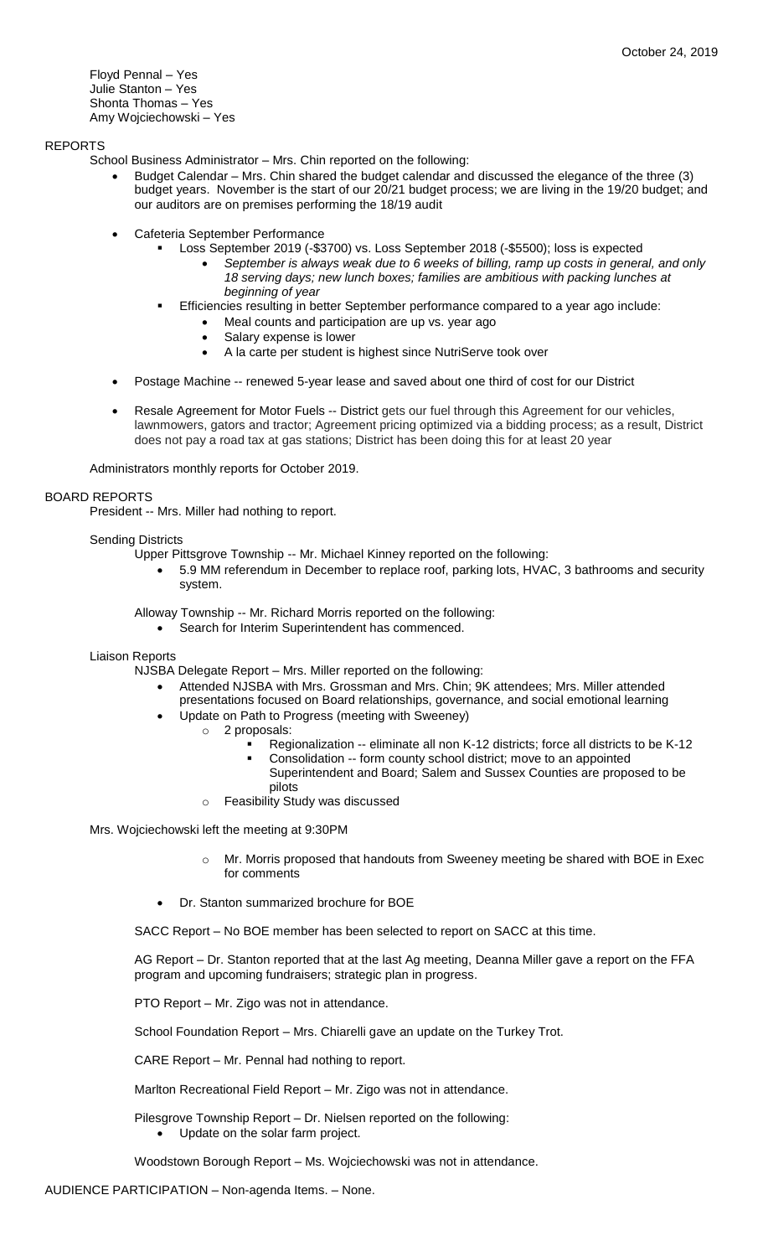Floyd Pennal – Yes Julie Stanton – Yes Shonta Thomas – Yes Amy Wojciechowski – Yes

# REPORTS

School Business Administrator – Mrs. Chin reported on the following:

- Budget Calendar Mrs. Chin shared the budget calendar and discussed the elegance of the three (3) budget years. November is the start of our 20/21 budget process; we are living in the 19/20 budget; and our auditors are on premises performing the 18/19 audit
- Cafeteria September Performance
	- Loss September 2019 (-\$3700) vs. Loss September 2018 (-\$5500); loss is expected
		- *September is always weak due to 6 weeks of billing, ramp up costs in general, and only 18 serving days; new lunch boxes; families are ambitious with packing lunches at beginning of year*
		- Efficiencies resulting in better September performance compared to a year ago include:
			- Meal counts and participation are up vs. year ago
			- Salary expense is lower
			- A la carte per student is highest since NutriServe took over
- Postage Machine -- renewed 5-year lease and saved about one third of cost for our District
- Resale Agreement for Motor Fuels -- District gets our fuel through this Agreement for our vehicles, lawnmowers, gators and tractor; Agreement pricing optimized via a bidding process; as a result, District does not pay a road tax at gas stations; District has been doing this for at least 20 year

Administrators monthly reports for October 2019.

# BOARD REPORTS

President -- Mrs. Miller had nothing to report.

#### Sending Districts

Upper Pittsgrove Township -- Mr. Michael Kinney reported on the following:

 5.9 MM referendum in December to replace roof, parking lots, HVAC, 3 bathrooms and security system.

Alloway Township -- Mr. Richard Morris reported on the following:

Search for Interim Superintendent has commenced.

# Liaison Reports

NJSBA Delegate Report – Mrs. Miller reported on the following:

- Attended NJSBA with Mrs. Grossman and Mrs. Chin; 9K attendees; Mrs. Miller attended presentations focused on Board relationships, governance, and social emotional learning
- Update on Path to Progress (meeting with Sweeney)
	- o 2 proposals:
		- Regionalization -- eliminate all non K-12 districts; force all districts to be K-12
			- Consolidation -- form county school district; move to an appointed Superintendent and Board; Salem and Sussex Counties are proposed to be
			- pilots
		- o Feasibility Study was discussed

Mrs. Wojciechowski left the meeting at 9:30PM

- o Mr. Morris proposed that handouts from Sweeney meeting be shared with BOE in Exec for comments
- Dr. Stanton summarized brochure for BOE

SACC Report – No BOE member has been selected to report on SACC at this time.

AG Report – Dr. Stanton reported that at the last Ag meeting, Deanna Miller gave a report on the FFA program and upcoming fundraisers; strategic plan in progress.

PTO Report – Mr. Zigo was not in attendance.

School Foundation Report – Mrs. Chiarelli gave an update on the Turkey Trot.

CARE Report – Mr. Pennal had nothing to report.

Marlton Recreational Field Report – Mr. Zigo was not in attendance.

Pilesgrove Township Report – Dr. Nielsen reported on the following:

Update on the solar farm project.

Woodstown Borough Report – Ms. Wojciechowski was not in attendance.

AUDIENCE PARTICIPATION – Non-agenda Items. – None.